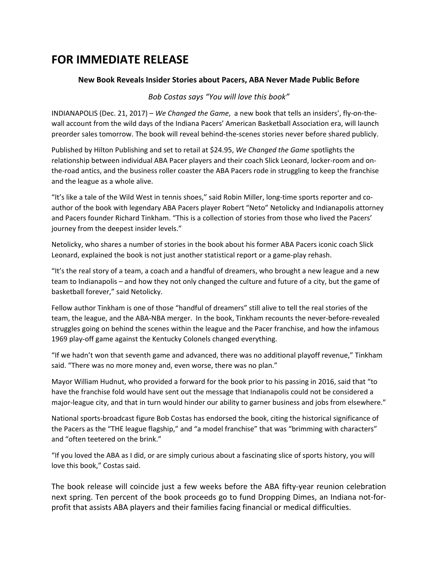## **FOR IMMEDIATE RELEASE**

## **New Book Reveals Insider Stories about Pacers, ABA Never Made Public Before**

*Bob Costas says "You will love this book"* 

INDIANAPOLIS (Dec. 21, 2017) – *We Changed the Game*, a new book that tells an insiders', fly-on-thewall account from the wild days of the Indiana Pacers' American Basketball Association era, will launch preorder sales tomorrow. The book will reveal behind-the-scenes stories never before shared publicly.

Published by Hilton Publishing and set to retail at \$24.95, *We Changed the Game* spotlights the relationship between individual ABA Pacer players and their coach Slick Leonard, locker-room and onthe-road antics, and the business roller coaster the ABA Pacers rode in struggling to keep the franchise and the league as a whole alive.

"It's like a tale of the Wild West in tennis shoes," said Robin Miller, long-time sports reporter and coauthor of the book with legendary ABA Pacers player Robert "Neto" Netolicky and Indianapolis attorney and Pacers founder Richard Tinkham. "This is a collection of stories from those who lived the Pacers' journey from the deepest insider levels."

Netolicky, who shares a number of stories in the book about his former ABA Pacers iconic coach Slick Leonard, explained the book is not just another statistical report or a game-play rehash.

"It's the real story of a team, a coach and a handful of dreamers, who brought a new league and a new team to Indianapolis – and how they not only changed the culture and future of a city, but the game of basketball forever," said Netolicky.

Fellow author Tinkham is one of those "handful of dreamers" still alive to tell the real stories of the team, the league, and the ABA-NBA merger. In the book, Tinkham recounts the never-before-revealed struggles going on behind the scenes within the league and the Pacer franchise, and how the infamous 1969 play-off game against the Kentucky Colonels changed everything.

"If we hadn't won that seventh game and advanced, there was no additional playoff revenue," Tinkham said. "There was no more money and, even worse, there was no plan."

Mayor William Hudnut, who provided a forward for the book prior to his passing in 2016, said that "to have the franchise fold would have sent out the message that Indianapolis could not be considered a major-league city, and that in turn would hinder our ability to garner business and jobs from elsewhere."

National sports-broadcast figure Bob Costas has endorsed the book, citing the historical significance of the Pacers as the "THE league flagship," and "a model franchise" that was "brimming with characters" and "often teetered on the brink."

"If you loved the ABA as I did, or are simply curious about a fascinating slice of sports history, you will love this book," Costas said.

The book release will coincide just a few weeks before the ABA fifty-year reunion celebration next spring. Ten percent of the book proceeds go to fund Dropping Dimes, an Indiana not-forprofit that assists ABA players and their families facing financial or medical difficulties.